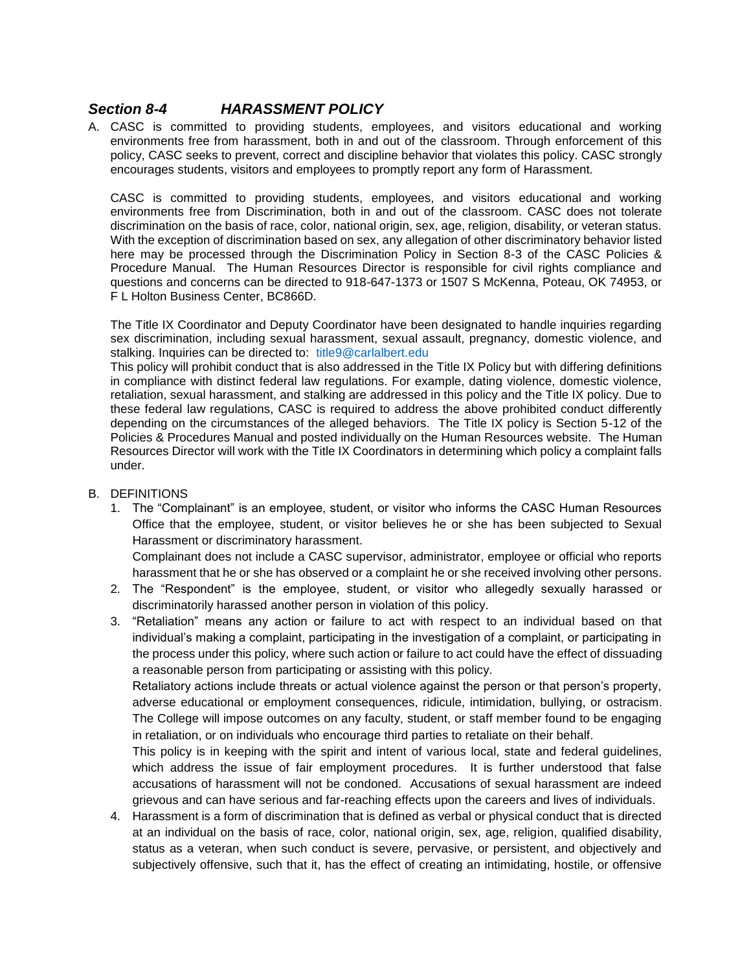## *Section 8-4 HARASSMENT POLICY*

A. CASC is committed to providing students, employees, and visitors educational and working environments free from harassment, both in and out of the classroom. Through enforcement of this policy, CASC seeks to prevent, correct and discipline behavior that violates this policy. CASC strongly encourages students, visitors and employees to promptly report any form of Harassment.

CASC is committed to providing students, employees, and visitors educational and working environments free from Discrimination, both in and out of the classroom. CASC does not tolerate discrimination on the basis of race, color, national origin, sex, age, religion, disability, or veteran status. With the exception of discrimination based on sex, any allegation of other discriminatory behavior listed here may be processed through the Discrimination Policy in Section 8-3 of the CASC Policies & Procedure Manual. The Human Resources Director is responsible for civil rights compliance and questions and concerns can be directed to 918-647-1373 or 1507 S McKenna, Poteau, OK 74953, or F L Holton Business Center, BC866D.

The Title IX Coordinator and Deputy Coordinator have been designated to handle inquiries regarding sex discrimination, including sexual harassment, sexual assault, pregnancy, domestic violence, and stalking. Inquiries can be directed to: [title9@carlalbert.edu](mailto:title9@carlalbert.edu)

This policy will prohibit conduct that is also addressed in the Title IX Policy but with differing definitions in compliance with distinct federal law regulations. For example, dating violence, domestic violence, retaliation, sexual harassment, and stalking are addressed in this policy and the Title IX policy. Due to these federal law regulations, CASC is required to address the above prohibited conduct differently depending on the circumstances of the alleged behaviors. The Title IX policy is Section 5-12 of the Policies & Procedures Manual and posted individually on the Human Resources website. The Human Resources Director will work with the Title IX Coordinators in determining which policy a complaint falls under.

## B. DEFINITIONS

1. The "Complainant" is an employee, student, or visitor who informs the CASC Human Resources Office that the employee, student, or visitor believes he or she has been subjected to Sexual Harassment or discriminatory harassment.

Complainant does not include a CASC supervisor, administrator, employee or official who reports harassment that he or she has observed or a complaint he or she received involving other persons.

- 2. The "Respondent" is the employee, student, or visitor who allegedly sexually harassed or discriminatorily harassed another person in violation of this policy.
- 3. "Retaliation" means any action or failure to act with respect to an individual based on that individual's making a complaint, participating in the investigation of a complaint, or participating in the process under this policy, where such action or failure to act could have the effect of dissuading a reasonable person from participating or assisting with this policy.

Retaliatory actions include threats or actual violence against the person or that person's property, adverse educational or employment consequences, ridicule, intimidation, bullying, or ostracism. The College will impose outcomes on any faculty, student, or staff member found to be engaging in retaliation, or on individuals who encourage third parties to retaliate on their behalf.

This policy is in keeping with the spirit and intent of various local, state and federal guidelines, which address the issue of fair employment procedures. It is further understood that false accusations of harassment will not be condoned. Accusations of sexual harassment are indeed grievous and can have serious and far-reaching effects upon the careers and lives of individuals.

4. Harassment is a form of discrimination that is defined as verbal or physical conduct that is directed at an individual on the basis of race, color, national origin, sex, age, religion, qualified disability, status as a veteran, when such conduct is severe, pervasive, or persistent, and objectively and subjectively offensive, such that it, has the effect of creating an intimidating, hostile, or offensive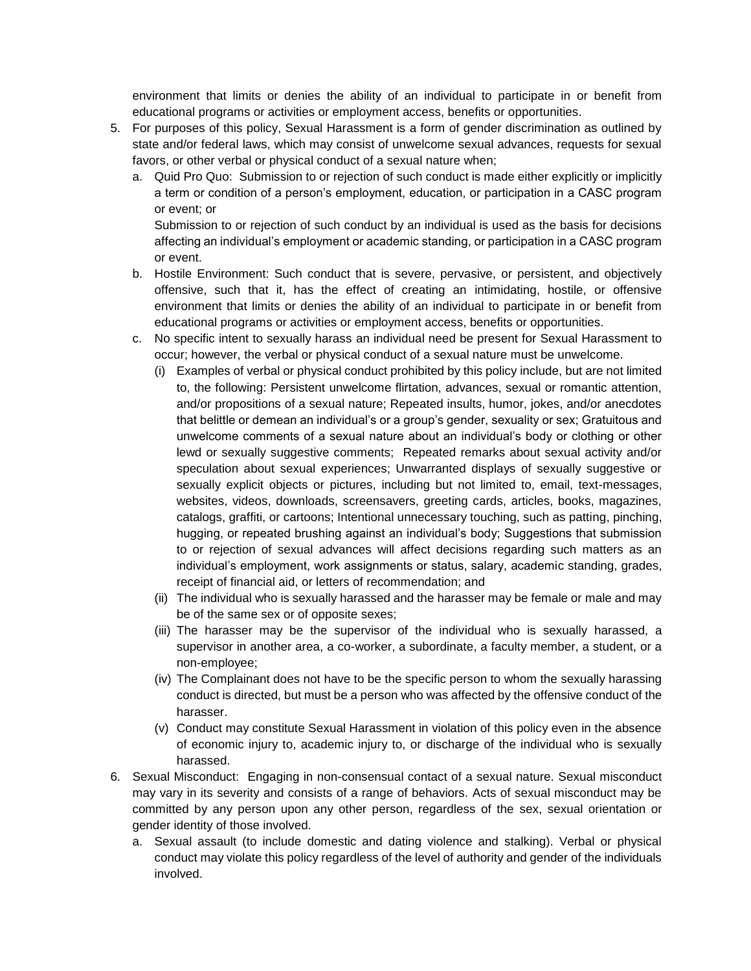environment that limits or denies the ability of an individual to participate in or benefit from educational programs or activities or employment access, benefits or opportunities.

- 5. For purposes of this policy, Sexual Harassment is a form of gender discrimination as outlined by state and/or federal laws, which may consist of unwelcome sexual advances, requests for sexual favors, or other verbal or physical conduct of a sexual nature when;
	- a. Quid Pro Quo: Submission to or rejection of such conduct is made either explicitly or implicitly a term or condition of a person's employment, education, or participation in a CASC program or event; or

Submission to or rejection of such conduct by an individual is used as the basis for decisions affecting an individual's employment or academic standing, or participation in a CASC program or event.

- b. Hostile Environment: Such conduct that is severe, pervasive, or persistent, and objectively offensive, such that it, has the effect of creating an intimidating, hostile, or offensive environment that limits or denies the ability of an individual to participate in or benefit from educational programs or activities or employment access, benefits or opportunities.
- c. No specific intent to sexually harass an individual need be present for Sexual Harassment to occur; however, the verbal or physical conduct of a sexual nature must be unwelcome.
	- (i) Examples of verbal or physical conduct prohibited by this policy include, but are not limited to, the following: Persistent unwelcome flirtation, advances, sexual or romantic attention, and/or propositions of a sexual nature; Repeated insults, humor, jokes, and/or anecdotes that belittle or demean an individual's or a group's gender, sexuality or sex; Gratuitous and unwelcome comments of a sexual nature about an individual's body or clothing or other lewd or sexually suggestive comments; Repeated remarks about sexual activity and/or speculation about sexual experiences; Unwarranted displays of sexually suggestive or sexually explicit objects or pictures, including but not limited to, email, text-messages, websites, videos, downloads, screensavers, greeting cards, articles, books, magazines, catalogs, graffiti, or cartoons; Intentional unnecessary touching, such as patting, pinching, hugging, or repeated brushing against an individual's body; Suggestions that submission to or rejection of sexual advances will affect decisions regarding such matters as an individual's employment, work assignments or status, salary, academic standing, grades, receipt of financial aid, or letters of recommendation; and
	- (ii) The individual who is sexually harassed and the harasser may be female or male and may be of the same sex or of opposite sexes;
	- (iii) The harasser may be the supervisor of the individual who is sexually harassed, a supervisor in another area, a co-worker, a subordinate, a faculty member, a student, or a non-employee;
	- (iv) The Complainant does not have to be the specific person to whom the sexually harassing conduct is directed, but must be a person who was affected by the offensive conduct of the harasser.
	- (v) Conduct may constitute Sexual Harassment in violation of this policy even in the absence of economic injury to, academic injury to, or discharge of the individual who is sexually harassed.
- 6. Sexual Misconduct: Engaging in non-consensual contact of a sexual nature. Sexual misconduct may vary in its severity and consists of a range of behaviors. Acts of sexual misconduct may be committed by any person upon any other person, regardless of the sex, sexual orientation or gender identity of those involved.
	- a. Sexual assault (to include domestic and dating violence and stalking). Verbal or physical conduct may violate this policy regardless of the level of authority and gender of the individuals involved.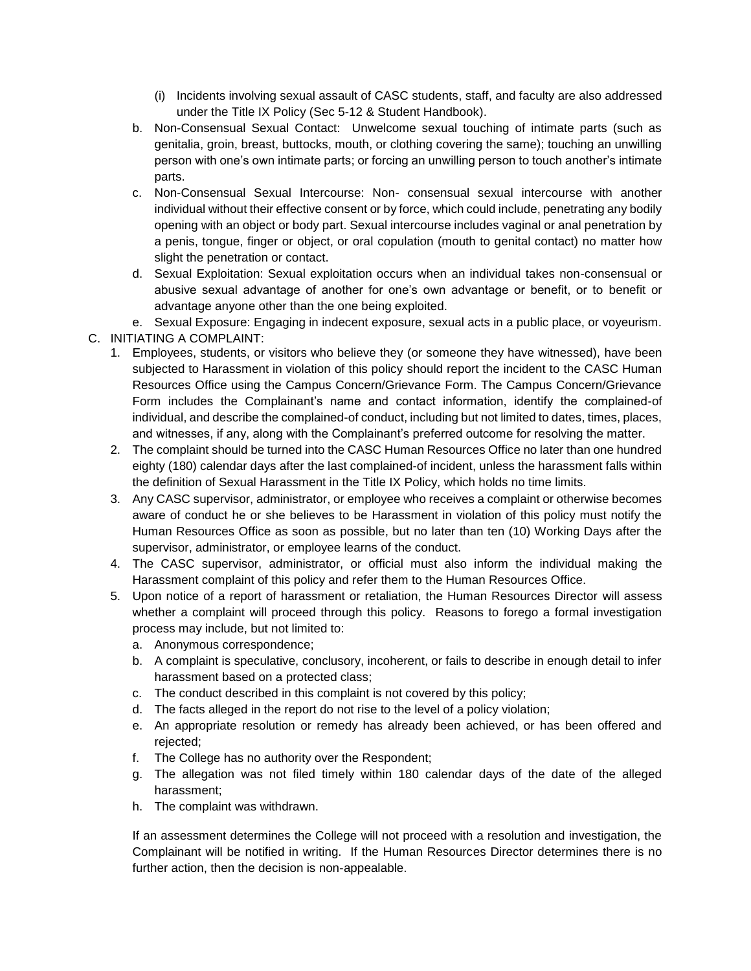- (i) Incidents involving sexual assault of CASC students, staff, and faculty are also addressed under the Title IX Policy (Sec 5-12 & Student Handbook).
- b. Non-Consensual Sexual Contact: Unwelcome sexual touching of intimate parts (such as genitalia, groin, breast, buttocks, mouth, or clothing covering the same); touching an unwilling person with one's own intimate parts; or forcing an unwilling person to touch another's intimate parts.
- c. Non-Consensual Sexual Intercourse: Non- consensual sexual intercourse with another individual without their effective consent or by force, which could include, penetrating any bodily opening with an object or body part. Sexual intercourse includes vaginal or anal penetration by a penis, tongue, finger or object, or oral copulation (mouth to genital contact) no matter how slight the penetration or contact.
- d. Sexual Exploitation: Sexual exploitation occurs when an individual takes non-consensual or abusive sexual advantage of another for one's own advantage or benefit, or to benefit or advantage anyone other than the one being exploited.
- e. Sexual Exposure: Engaging in indecent exposure, sexual acts in a public place, or voyeurism.
- C. INITIATING A COMPLAINT:
	- 1. Employees, students, or visitors who believe they (or someone they have witnessed), have been subjected to Harassment in violation of this policy should report the incident to the CASC Human Resources Office using the Campus Concern/Grievance Form. The Campus Concern/Grievance Form includes the Complainant's name and contact information, identify the complained-of individual, and describe the complained-of conduct, including but not limited to dates, times, places, and witnesses, if any, along with the Complainant's preferred outcome for resolving the matter.
	- 2. The complaint should be turned into the CASC Human Resources Office no later than one hundred eighty (180) calendar days after the last complained-of incident, unless the harassment falls within the definition of Sexual Harassment in the Title IX Policy, which holds no time limits.
	- 3. Any CASC supervisor, administrator, or employee who receives a complaint or otherwise becomes aware of conduct he or she believes to be Harassment in violation of this policy must notify the Human Resources Office as soon as possible, but no later than ten (10) Working Days after the supervisor, administrator, or employee learns of the conduct.
	- 4. The CASC supervisor, administrator, or official must also inform the individual making the Harassment complaint of this policy and refer them to the Human Resources Office.
	- 5. Upon notice of a report of harassment or retaliation, the Human Resources Director will assess whether a complaint will proceed through this policy. Reasons to forego a formal investigation process may include, but not limited to:
		- a. Anonymous correspondence;
		- b. A complaint is speculative, conclusory, incoherent, or fails to describe in enough detail to infer harassment based on a protected class;
		- c. The conduct described in this complaint is not covered by this policy;
		- d. The facts alleged in the report do not rise to the level of a policy violation;
		- e. An appropriate resolution or remedy has already been achieved, or has been offered and rejected;
		- f. The College has no authority over the Respondent;
		- g. The allegation was not filed timely within 180 calendar days of the date of the alleged harassment;
		- h. The complaint was withdrawn.

If an assessment determines the College will not proceed with a resolution and investigation, the Complainant will be notified in writing. If the Human Resources Director determines there is no further action, then the decision is non-appealable.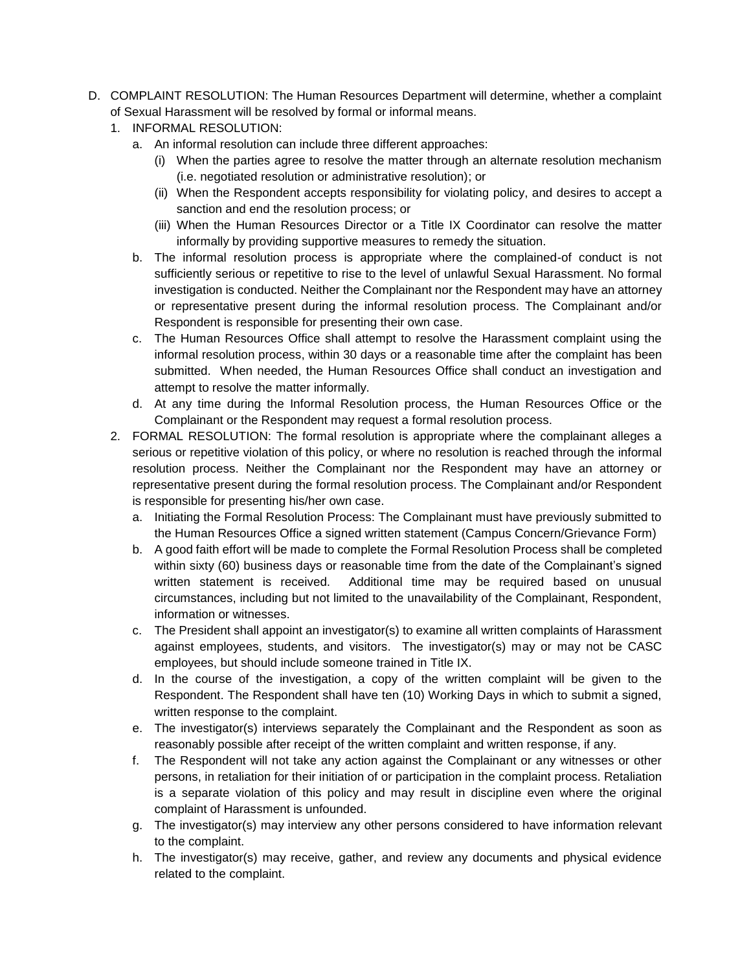- D. COMPLAINT RESOLUTION: The Human Resources Department will determine, whether a complaint of Sexual Harassment will be resolved by formal or informal means.
	- 1. INFORMAL RESOLUTION:
		- a. An informal resolution can include three different approaches:
			- (i) When the parties agree to resolve the matter through an alternate resolution mechanism (i.e. negotiated resolution or administrative resolution); or
			- (ii) When the Respondent accepts responsibility for violating policy, and desires to accept a sanction and end the resolution process; or
			- (iii) When the Human Resources Director or a Title IX Coordinator can resolve the matter informally by providing supportive measures to remedy the situation.
		- b. The informal resolution process is appropriate where the complained-of conduct is not sufficiently serious or repetitive to rise to the level of unlawful Sexual Harassment. No formal investigation is conducted. Neither the Complainant nor the Respondent may have an attorney or representative present during the informal resolution process. The Complainant and/or Respondent is responsible for presenting their own case.
		- c. The Human Resources Office shall attempt to resolve the Harassment complaint using the informal resolution process, within 30 days or a reasonable time after the complaint has been submitted. When needed, the Human Resources Office shall conduct an investigation and attempt to resolve the matter informally.
		- d. At any time during the Informal Resolution process, the Human Resources Office or the Complainant or the Respondent may request a formal resolution process.
	- 2. FORMAL RESOLUTION: The formal resolution is appropriate where the complainant alleges a serious or repetitive violation of this policy, or where no resolution is reached through the informal resolution process. Neither the Complainant nor the Respondent may have an attorney or representative present during the formal resolution process. The Complainant and/or Respondent is responsible for presenting his/her own case.
		- a. Initiating the Formal Resolution Process: The Complainant must have previously submitted to the Human Resources Office a signed written statement (Campus Concern/Grievance Form)
		- b. A good faith effort will be made to complete the Formal Resolution Process shall be completed within sixty (60) business days or reasonable time from the date of the Complainant's signed written statement is received. Additional time may be required based on unusual circumstances, including but not limited to the unavailability of the Complainant, Respondent, information or witnesses.
		- c. The President shall appoint an investigator(s) to examine all written complaints of Harassment against employees, students, and visitors. The investigator(s) may or may not be CASC employees, but should include someone trained in Title IX.
		- d. In the course of the investigation, a copy of the written complaint will be given to the Respondent. The Respondent shall have ten (10) Working Days in which to submit a signed, written response to the complaint.
		- e. The investigator(s) interviews separately the Complainant and the Respondent as soon as reasonably possible after receipt of the written complaint and written response, if any.
		- f. The Respondent will not take any action against the Complainant or any witnesses or other persons, in retaliation for their initiation of or participation in the complaint process. Retaliation is a separate violation of this policy and may result in discipline even where the original complaint of Harassment is unfounded.
		- g. The investigator(s) may interview any other persons considered to have information relevant to the complaint.
		- h. The investigator(s) may receive, gather, and review any documents and physical evidence related to the complaint.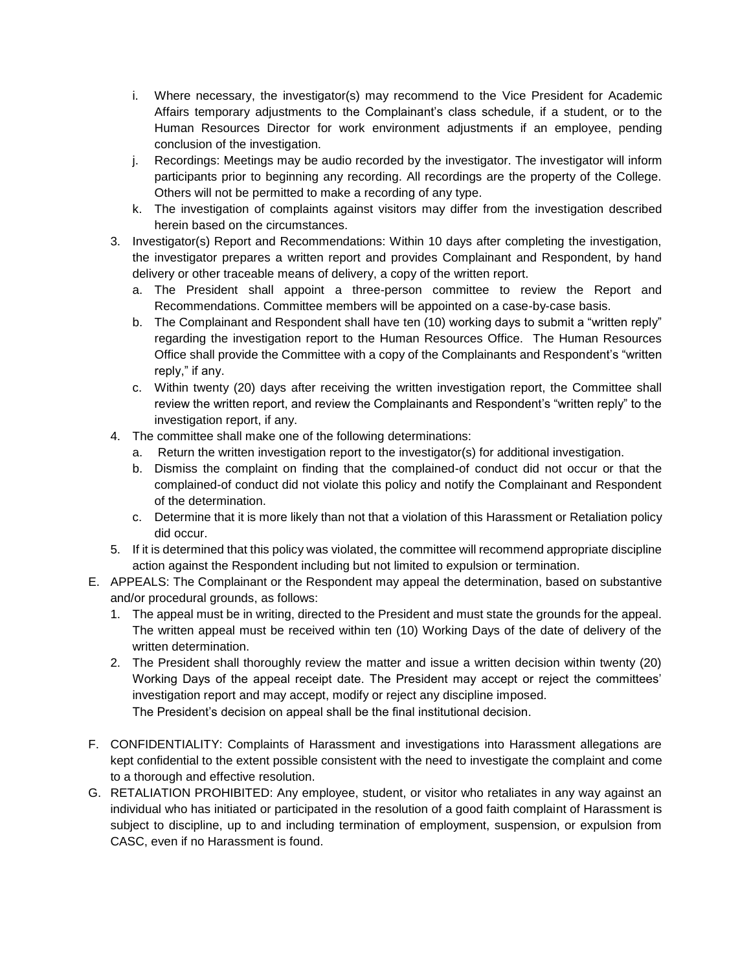- i. Where necessary, the investigator(s) may recommend to the Vice President for Academic Affairs temporary adjustments to the Complainant's class schedule, if a student, or to the Human Resources Director for work environment adjustments if an employee, pending conclusion of the investigation.
- j. Recordings: Meetings may be audio recorded by the investigator. The investigator will inform participants prior to beginning any recording. All recordings are the property of the College. Others will not be permitted to make a recording of any type.
- k. The investigation of complaints against visitors may differ from the investigation described herein based on the circumstances.
- 3. Investigator(s) Report and Recommendations: Within 10 days after completing the investigation, the investigator prepares a written report and provides Complainant and Respondent, by hand delivery or other traceable means of delivery, a copy of the written report.
	- a. The President shall appoint a three-person committee to review the Report and Recommendations. Committee members will be appointed on a case-by-case basis.
	- b. The Complainant and Respondent shall have ten (10) working days to submit a "written reply" regarding the investigation report to the Human Resources Office. The Human Resources Office shall provide the Committee with a copy of the Complainants and Respondent's "written reply," if any.
	- c. Within twenty (20) days after receiving the written investigation report, the Committee shall review the written report, and review the Complainants and Respondent's "written reply" to the investigation report, if any.
- 4. The committee shall make one of the following determinations:
	- a. Return the written investigation report to the investigator(s) for additional investigation.
	- b. Dismiss the complaint on finding that the complained-of conduct did not occur or that the complained-of conduct did not violate this policy and notify the Complainant and Respondent of the determination.
	- c. Determine that it is more likely than not that a violation of this Harassment or Retaliation policy did occur.
- 5. If it is determined that this policy was violated, the committee will recommend appropriate discipline action against the Respondent including but not limited to expulsion or termination.
- E. APPEALS: The Complainant or the Respondent may appeal the determination, based on substantive and/or procedural grounds, as follows:
	- 1. The appeal must be in writing, directed to the President and must state the grounds for the appeal. The written appeal must be received within ten (10) Working Days of the date of delivery of the written determination.
	- 2. The President shall thoroughly review the matter and issue a written decision within twenty (20) Working Days of the appeal receipt date. The President may accept or reject the committees' investigation report and may accept, modify or reject any discipline imposed. The President's decision on appeal shall be the final institutional decision.
- F. CONFIDENTIALITY: Complaints of Harassment and investigations into Harassment allegations are kept confidential to the extent possible consistent with the need to investigate the complaint and come to a thorough and effective resolution.
- G. RETALIATION PROHIBITED: Any employee, student, or visitor who retaliates in any way against an individual who has initiated or participated in the resolution of a good faith complaint of Harassment is subject to discipline, up to and including termination of employment, suspension, or expulsion from CASC, even if no Harassment is found.